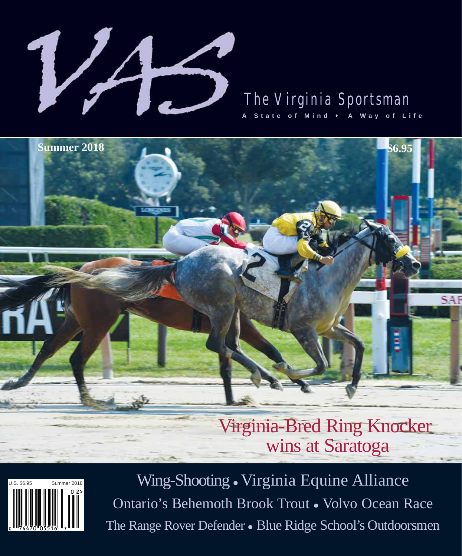VAS

## *The Virginia Sportsman* **A** State of Mind **\*** A Way of Life



Virginia-Bred Ring Knocker wins at Saratoga



U.S. \$6.95 Summer 2018 **Wing-Shooting . Virginia Equine Alliance** Ontario's Behemoth Brook Trout . Volvo Ocean Race The Range Rover Defender • Blue Ridge School's Outdoorsmen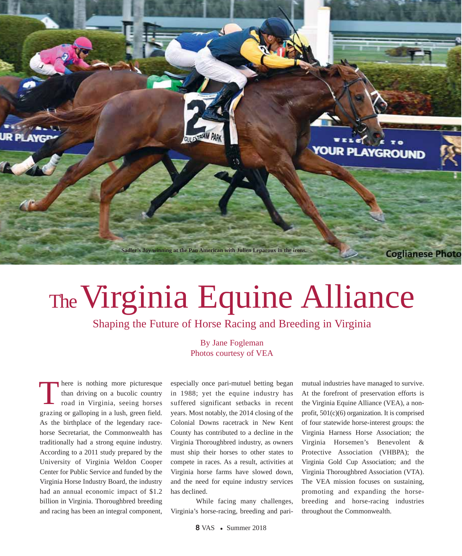

## TheVirginia Equine Alliance

Shaping the Future of Horse Racing and Breeding in Virginia

By Jane Fogleman Photos courtesy of VEA

here is nothing more picturesque than driving on a bucolic country road in Virginia, seeing horses grazing or galloping in a lush, green field. As the birthplace of the legendary racehorse Secretariat, the Commonwealth has traditionally had a strong equine industry. According to a 2011 study prepared by the University of Virginia Weldon Cooper Center for Public Service and funded by the Virginia Horse Industry Board, the industry had an annual economic impact of \$1.2 billion in Virginia. Thoroughbred breeding and racing has been an integral component, T

especially once pari-mutuel betting began in 1988; yet the equine industry has suffered significant setbacks in recent years. Most notably, the 2014 closing of the Colonial Downs racetrack in New Kent County has contributed to a decline in the Virginia Thoroughbred industry, as owners must ship their horses to other states to compete in races. As a result, activities at Virginia horse farms have slowed down, and the need for equine industry services has declined.

While facing many challenges, Virginia's horse-racing, breeding and parimutual industries have managed to survive. At the forefront of preservation efforts is the Virginia Equine Alliance (VEA), a nonprofit, 501(c)(6) organization. It is comprised of four statewide horse-interest groups: the Virginia Harness Horse Association; the Virginia Horsemen's Benevolent & Protective Association (VHBPA); the Virginia Gold Cup Association; and the Virginia Thoroughbred Association (VTA). The VEA mission focuses on sustaining, promoting and expanding the horsebreeding and horse-racing industries throughout the Commonwealth.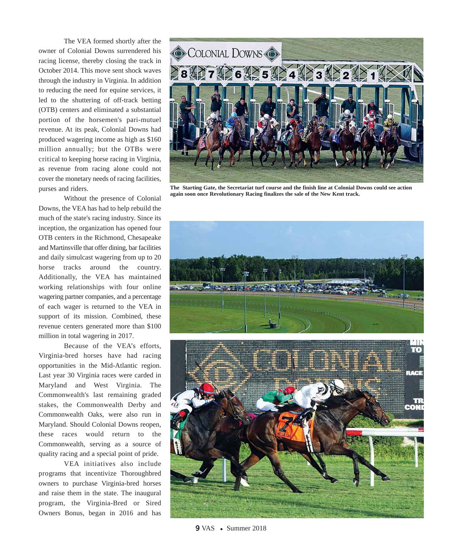The VEA formed shortly after the owner of Colonial Downs surrendered his racing license, thereby closing the track in October 2014. This move sent shock waves through the industry in Virginia. In addition to reducing the need for equine services, it led to the shuttering of off-track betting (OTB) centers and eliminated a substantial portion of the horsemen's pari-mutuel revenue. At its peak, Colonial Downs had produced wagering income as high as \$160 million annually; but the OTBs were critical to keeping horse racing in Virginia, as revenue from racing alone could not cover the monetary needs of racing facilities, purses and riders.

Without the presence of Colonial Downs, the VEA has had to help rebuild the much of the state's racing industry. Since its inception, the organization has opened four OTB centers in the Richmond, Chesapeake and Martinsville that offer dining, bar facilities and daily simulcast wagering from up to 20 horse tracks around the country. Additionally, the VEA has maintained working relationships with four online wagering partner companies, and a percentage of each wager is returned to the VEA in support of its mission. Combined, these revenue centers generated more than \$100 million in total wagering in 2017.

Because of the VEA's efforts, Virginia-bred horses have had racing opportunities in the Mid-Atlantic region. Last year 30 Virginia races were carded in Maryland and West Virginia. The Commonwealth's last remaining graded stakes, the Commonwealth Derby and Commonwealth Oaks, were also run in Maryland. Should Colonial Downs reopen, these races would return to the Commonwealth, serving as a source of quality racing and a special point of pride.

VEA initiatives also include programs that incentivize Thoroughbred owners to purchase Virginia-bred horses and raise them in the state. The inaugural program, the Virginia-Bred or Sired Owners Bonus, began in 2016 and has



**The Starting Gate, the Secretariat turf course and the finish line at Colonial Downs could see action again soon once Revolutionary Racing finalizes the sale of the New Kent track.** 



9 VAS • Summer 2018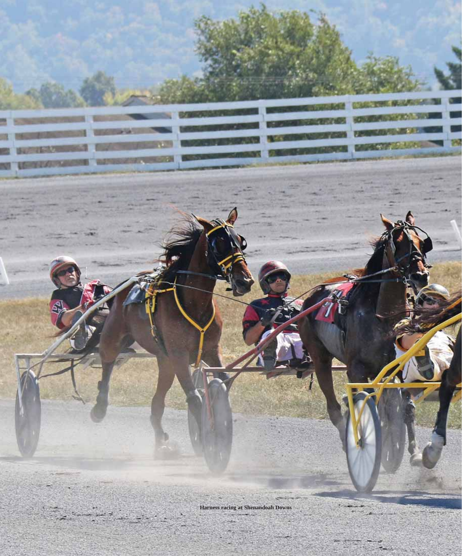**Harness racing at Shenandoah Downs**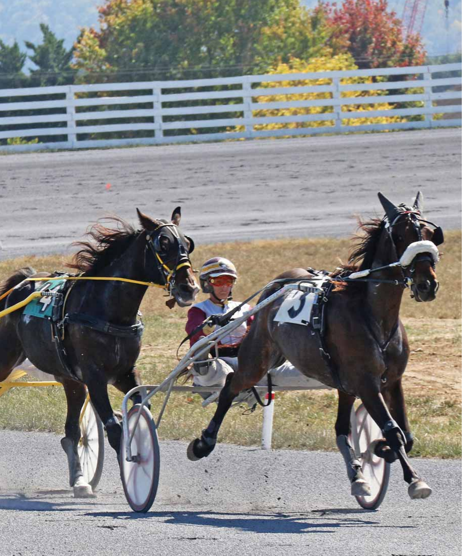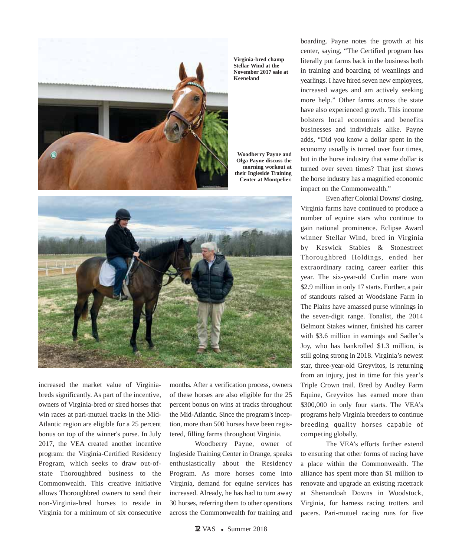

**Virginia-bred champ Stellar Wind at the November 2017 sale at Keeneland**

**Woodberry Payne and Olga Payne discuss the morning workout at their Ingleside Training Center at Montpelier.** 



increased the market value of Virginiabreds significantly. As part of the incentive, owners of Virginia-bred or sired horses that win races at pari-mutuel tracks in the Mid-Atlantic region are eligible for a 25 percent bonus on top of the winner's purse. In July 2017, the VEA created another incentive program: the Virginia-Certified Residency Program, which seeks to draw out-ofstate Thoroughbred business to the Commonwealth. This creative initiative allows Thoroughbred owners to send their non-Virginia-bred horses to reside in Virginia for a minimum of six consecutive

months. After a verification process, owners of these horses are also eligible for the 25 percent bonus on wins at tracks throughout the Mid-Atlantic. Since the program's inception, more than 500 horses have been registered, filling farms throughout Virginia.

Woodberry Payne, owner of Ingleside Training Center in Orange, speaks enthusiastically about the Residency Program. As more horses come into Virginia, demand for equine services has increased. Already, he has had to turn away 30 horses, referring them to other operations across the Commonwealth for training and

boarding. Payne notes the growth at his center, saying, "The Certified program has literally put farms back in the business both in training and boarding of weanlings and yearlings. I have hired seven new employees, increased wages and am actively seeking more help." Other farms across the state have also experienced growth. This income bolsters local economies and benefits businesses and individuals alike. Payne adds, "Did you know a dollar spent in the economy usually is turned over four times, but in the horse industry that same dollar is turned over seven times? That just shows the horse industry has a magnified economic impact on the Commonwealth."

Even after Colonial Downs'closing, Virginia farms have continued to produce a number of equine stars who continue to gain national prominence. Eclipse Award winner Stellar Wind, bred in Virginia by Keswick Stables & Stonestreet Thoroughbred Holdings, ended her extraordinary racing career earlier this year. The six-year-old Curlin mare won \$2.9 million in only 17 starts. Further, a pair of standouts raised at Woodslane Farm in The Plains have amassed purse winnings in the seven-digit range. Tonalist, the 2014 Belmont Stakes winner, finished his career with \$3.6 million in earnings and Sadler's Joy, who has bankrolled \$1.3 million, is still going strong in 2018. Virginia's newest star, three-year-old Greyvitos, is returning from an injury, just in time for this year's Triple Crown trail. Bred by Audley Farm Equine, Greyvitos has earned more than \$300,000 in only four starts. The VEA's programs help Virginia breeders to continue breeding quality horses capable of competing globally.

The VEA's efforts further extend to ensuring that other forms of racing have a place within the Commonwealth. The alliance has spent more than \$1 million to renovate and upgrade an existing racetrack at Shenandoah Downs in Woodstock, Virginia, for harness racing trotters and pacers. Pari-mutuel racing runs for five